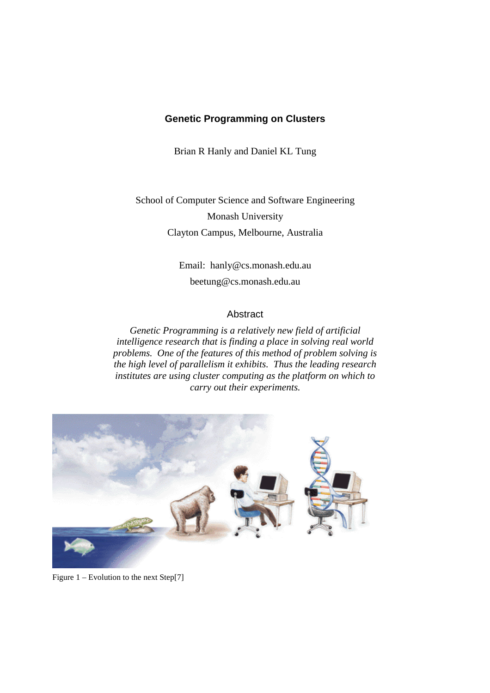### **Genetic Programming on Clusters**

Brian R Hanly and Daniel KL Tung

School of Computer Science and Software Engineering Monash University Clayton Campus, Melbourne, Australia

> Email: hanly@cs.monash.edu.au beetung@cs.monash.edu.au

### Abstract

*Genetic Programming is a relatively new field of artificial intelligence research that is finding a place in solving real world problems. One of the features of this method of problem solving is the high level of parallelism it exhibits. Thus the leading research institutes are using cluster computing as the platform on which to carry out their experiments.*



Figure 1 – Evolution to the next Step[7]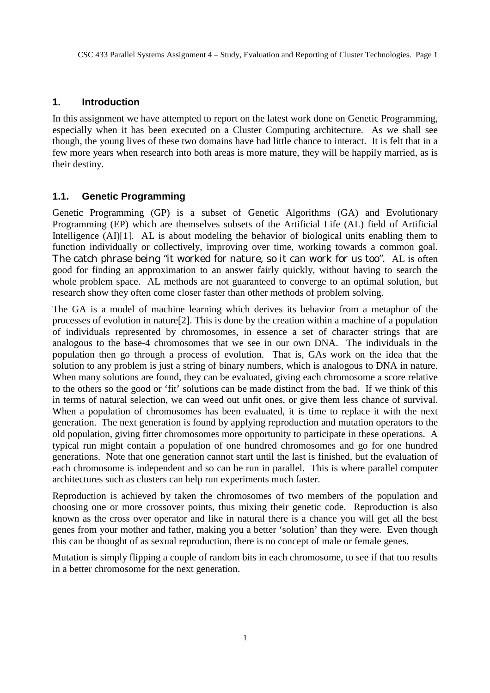### **1. Introduction**

In this assignment we have attempted to report on the latest work done on Genetic Programming, especially when it has been executed on a Cluster Computing architecture. As we shall see though, the young lives of these two domains have had little chance to interact. It is felt that in a few more years when research into both areas is more mature, they will be happily married, as is their destiny.

## **1.1. Genetic Programming**

Genetic Programming (GP) is a subset of Genetic Algorithms (GA) and Evolutionary Programming (EP) which are themselves subsets of the Artificial Life (AL) field of Artificial Intelligence (AI)[1]. AL is about modeling the behavior of biological units enabling them to function individually or collectively, improving over time, working towards a common goal. The catch phrase being "it worked for nature, so it can work for us too". AL is often good for finding an approximation to an answer fairly quickly, without having to search the whole problem space. AL methods are not guaranteed to converge to an optimal solution, but research show they often come closer faster than other methods of problem solving.

The GA is a model of machine learning which derives its behavior from a metaphor of the processes of evolution in nature[2]. This is done by the creation within a machine of a population of individuals represented by chromosomes, in essence a set of character strings that are analogous to the base-4 chromosomes that we see in our own DNA. The individuals in the population then go through a process of evolution. That is, GAs work on the idea that the solution to any problem is just a string of binary numbers, which is analogous to DNA in nature. When many solutions are found, they can be evaluated, giving each chromosome a score relative to the others so the good or 'fit' solutions can be made distinct from the bad. If we think of this in terms of natural selection, we can weed out unfit ones, or give them less chance of survival. When a population of chromosomes has been evaluated, it is time to replace it with the next generation. The next generation is found by applying reproduction and mutation operators to the old population, giving fitter chromosomes more opportunity to participate in these operations. A typical run might contain a population of one hundred chromosomes and go for one hundred generations. Note that one generation cannot start until the last is finished, but the evaluation of each chromosome is independent and so can be run in parallel. This is where parallel computer architectures such as clusters can help run experiments much faster.

Reproduction is achieved by taken the chromosomes of two members of the population and choosing one or more crossover points, thus mixing their genetic code. Reproduction is also known as the cross over operator and like in natural there is a chance you will get all the best genes from your mother and father, making you a better 'solution' than they were. Even though this can be thought of as sexual reproduction, there is no concept of male or female genes.

Mutation is simply flipping a couple of random bits in each chromosome, to see if that too results in a better chromosome for the next generation.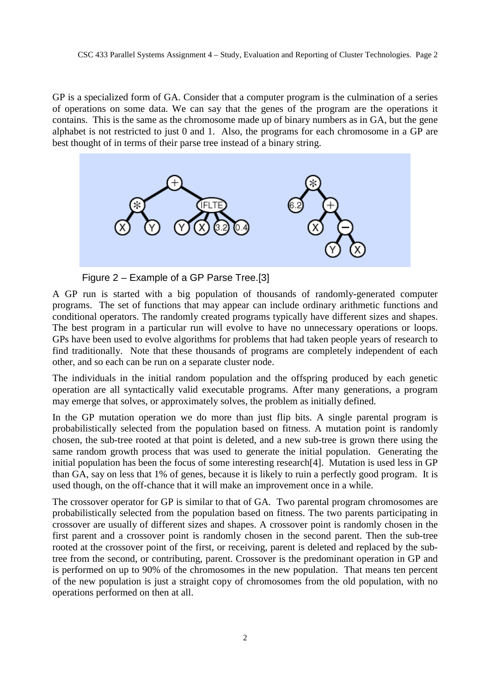GP is a specialized form of GA. Consider that a computer program is the culmination of a series of operations on some data. We can say that the genes of the program are the operations it contains. This is the same as the chromosome made up of binary numbers as in GA, but the gene alphabet is not restricted to just 0 and 1. Also, the programs for each chromosome in a GP are best thought of in terms of their parse tree instead of a binary string.



Figure 2 – Example of a GP Parse Tree.[3]

A GP run is started with a big population of thousands of randomly-generated computer programs. The set of functions that may appear can include ordinary arithmetic functions and conditional operators. The randomly created programs typically have different sizes and shapes. The best program in a particular run will evolve to have no unnecessary operations or loops. GPs have been used to evolve algorithms for problems that had taken people years of research to find traditionally. Note that these thousands of programs are completely independent of each other, and so each can be run on a separate cluster node.

The individuals in the initial random population and the offspring produced by each genetic operation are all syntactically valid executable programs. After many generations, a program may emerge that solves, or approximately solves, the problem as initially defined.

In the GP mutation operation we do more than just flip bits. A single parental program is probabilistically selected from the population based on fitness. A mutation point is randomly chosen, the sub-tree rooted at that point is deleted, and a new sub-tree is grown there using the same random growth process that was used to generate the initial population. Generating the initial population has been the focus of some interesting research[4]. Mutation is used less in GP than GA, say on less that 1% of genes, because it is likely to ruin a perfectly good program. It is used though, on the off-chance that it will make an improvement once in a while.

The crossover operator for GP is similar to that of GA. Two parental program chromosomes are probabilistically selected from the population based on fitness. The two parents participating in crossover are usually of different sizes and shapes. A crossover point is randomly chosen in the first parent and a crossover point is randomly chosen in the second parent. Then the sub-tree rooted at the crossover point of the first, or receiving, parent is deleted and replaced by the subtree from the second, or contributing, parent. Crossover is the predominant operation in GP and is performed on up to 90% of the chromosomes in the new population. That means ten percent of the new population is just a straight copy of chromosomes from the old population, with no operations performed on then at all.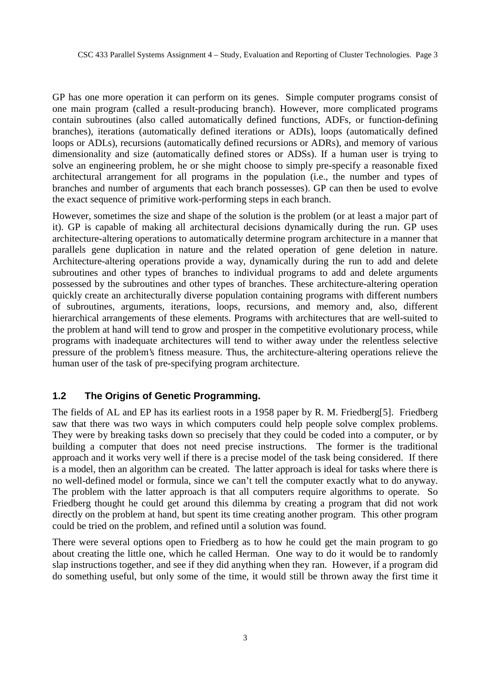CSC 433 Parallel Systems Assignment 4 – Study, Evaluation and Reporting of Cluster Technologies. Page 3

GP has one more operation it can perform on its genes. Simple computer programs consist of one main program (called a result-producing branch). However, more complicated programs contain subroutines (also called automatically defined functions, ADFs, or function-defining branches), iterations (automatically defined iterations or ADIs), loops (automatically defined loops or ADLs), recursions (automatically defined recursions or ADRs), and memory of various dimensionality and size (automatically defined stores or ADSs). If a human user is trying to solve an engineering problem, he or she might choose to simply pre-specify a reasonable fixed architectural arrangement for all programs in the population (i.e., the number and types of branches and number of arguments that each branch possesses). GP can then be used to evolve the exact sequence of primitive work-performing steps in each branch.

However, sometimes the size and shape of the solution is the problem (or at least a major part of it). GP is capable of making all architectural decisions dynamically during the run. GP uses architecture-altering operations to automatically determine program architecture in a manner that parallels gene duplication in nature and the related operation of gene deletion in nature. Architecture-altering operations provide a way, dynamically during the run to add and delete subroutines and other types of branches to individual programs to add and delete arguments possessed by the subroutines and other types of branches. These architecture-altering operation quickly create an architecturally diverse population containing programs with different numbers of subroutines, arguments, iterations, loops, recursions, and memory and, also, different hierarchical arrangements of these elements. Programs with architectures that are well-suited to the problem at hand will tend to grow and prosper in the competitive evolutionary process, while programs with inadequate architectures will tend to wither away under the relentless selective pressure of the problem's fitness measure. Thus, the architecture-altering operations relieve the human user of the task of pre-specifying program architecture.

## **1.2 The Origins of Genetic Programming.**

The fields of AL and EP has its earliest roots in a 1958 paper by R. M. Friedberg[5]. Friedberg saw that there was two ways in which computers could help people solve complex problems. They were by breaking tasks down so precisely that they could be coded into a computer, or by building a computer that does not need precise instructions. The former is the traditional approach and it works very well if there is a precise model of the task being considered. If there is a model, then an algorithm can be created. The latter approach is ideal for tasks where there is no well-defined model or formula, since we can't tell the computer exactly what to do anyway. The problem with the latter approach is that all computers require algorithms to operate. So Friedberg thought he could get around this dilemma by creating a program that did not work directly on the problem at hand, but spent its time creating another program. This other program could be tried on the problem, and refined until a solution was found.

There were several options open to Friedberg as to how he could get the main program to go about creating the little one, which he called Herman. One way to do it would be to randomly slap instructions together, and see if they did anything when they ran. However, if a program did do something useful, but only some of the time, it would still be thrown away the first time it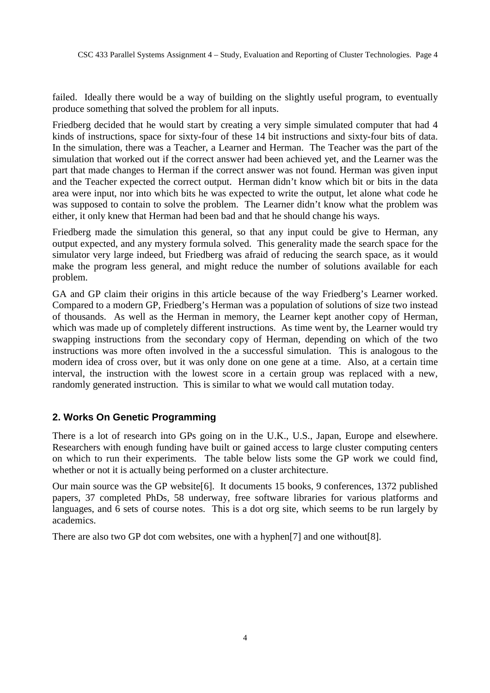failed. Ideally there would be a way of building on the slightly useful program, to eventually produce something that solved the problem for all inputs.

Friedberg decided that he would start by creating a very simple simulated computer that had 4 kinds of instructions, space for sixty-four of these 14 bit instructions and sixty-four bits of data. In the simulation, there was a Teacher, a Learner and Herman. The Teacher was the part of the simulation that worked out if the correct answer had been achieved yet, and the Learner was the part that made changes to Herman if the correct answer was not found. Herman was given input and the Teacher expected the correct output. Herman didn't know which bit or bits in the data area were input, nor into which bits he was expected to write the output, let alone what code he was supposed to contain to solve the problem. The Learner didn't know what the problem was either, it only knew that Herman had been bad and that he should change his ways.

Friedberg made the simulation this general, so that any input could be give to Herman, any output expected, and any mystery formula solved. This generality made the search space for the simulator very large indeed, but Friedberg was afraid of reducing the search space, as it would make the program less general, and might reduce the number of solutions available for each problem.

GA and GP claim their origins in this article because of the way Friedberg's Learner worked. Compared to a modern GP, Friedberg's Herman was a population of solutions of size two instead of thousands. As well as the Herman in memory, the Learner kept another copy of Herman, which was made up of completely different instructions. As time went by, the Learner would try swapping instructions from the secondary copy of Herman, depending on which of the two instructions was more often involved in the a successful simulation. This is analogous to the modern idea of cross over, but it was only done on one gene at a time. Also, at a certain time interval, the instruction with the lowest score in a certain group was replaced with a new, randomly generated instruction. This is similar to what we would call mutation today.

## **2. Works On Genetic Programming**

There is a lot of research into GPs going on in the U.K., U.S., Japan, Europe and elsewhere. Researchers with enough funding have built or gained access to large cluster computing centers on which to run their experiments. The table below lists some the GP work we could find, whether or not it is actually being performed on a cluster architecture.

Our main source was the GP website[6]. It documents 15 books, 9 conferences, 1372 published papers, 37 completed PhDs, 58 underway, free software libraries for various platforms and languages, and 6 sets of course notes. This is a dot org site, which seems to be run largely by academics.

There are also two GP dot com websites, one with a hyphen[7] and one without[8].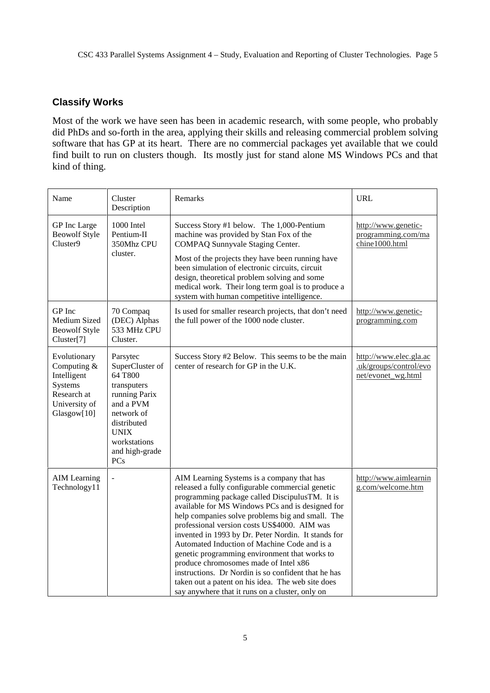# **Classify Works**

Most of the work we have seen has been in academic research, with some people, who probably did PhDs and so-forth in the area, applying their skills and releasing commercial problem solving software that has GP at its heart. There are no commercial packages yet available that we could find built to run on clusters though. Its mostly just for stand alone MS Windows PCs and that kind of thing.

| Name                                                                                                 | Cluster<br>Description                                                                                                                                                          | Remarks                                                                                                                                                                                                                                                                                                                                                                                                                                                                                                                                                                                                                                                                  | <b>URL</b>                                                             |
|------------------------------------------------------------------------------------------------------|---------------------------------------------------------------------------------------------------------------------------------------------------------------------------------|--------------------------------------------------------------------------------------------------------------------------------------------------------------------------------------------------------------------------------------------------------------------------------------------------------------------------------------------------------------------------------------------------------------------------------------------------------------------------------------------------------------------------------------------------------------------------------------------------------------------------------------------------------------------------|------------------------------------------------------------------------|
| GP Inc Large<br><b>Beowolf Style</b><br>Cluster9                                                     | 1000 Intel<br>Pentium-II<br>350Mhz CPU<br>cluster.                                                                                                                              | Success Story #1 below. The 1,000-Pentium<br>machine was provided by Stan Fox of the<br>COMPAQ Sunnyvale Staging Center.<br>Most of the projects they have been running have<br>been simulation of electronic circuits, circuit<br>design, theoretical problem solving and some<br>medical work. Their long term goal is to produce a<br>system with human competitive intelligence.                                                                                                                                                                                                                                                                                     | http://www.genetic-<br>programming.com/ma<br>chine1000.html            |
| GP Inc<br>Medium Sized<br><b>Beowolf Style</b><br>Cluster[7]                                         | 70 Compaq<br>(DEC) Alphas<br>533 MHz CPU<br>Cluster.                                                                                                                            | Is used for smaller research projects, that don't need<br>the full power of the 1000 node cluster.                                                                                                                                                                                                                                                                                                                                                                                                                                                                                                                                                                       | http://www.genetic-<br>programming.com                                 |
| Evolutionary<br>Computing &<br>Intelligent<br>Systems<br>Research at<br>University of<br>Glasgow[10] | Parsytec<br>SuperCluster of<br>64 T800<br>transputers<br>running Parix<br>and a PVM<br>network of<br>distributed<br><b>UNIX</b><br>workstations<br>and high-grade<br><b>PCs</b> | Success Story #2 Below. This seems to be the main<br>center of research for GP in the U.K.                                                                                                                                                                                                                                                                                                                                                                                                                                                                                                                                                                               | http://www.elec.gla.ac<br>.uk/groups/control/evo<br>net/evonet_wg.html |
| <b>AIM</b> Learning<br>Technology11                                                                  | ÷,                                                                                                                                                                              | AIM Learning Systems is a company that has<br>released a fully configurable commercial genetic<br>programming package called DiscipulusTM. It is<br>available for MS Windows PCs and is designed for<br>help companies solve problems big and small. The<br>professional version costs US\$4000. AIM was<br>invented in 1993 by Dr. Peter Nordin. It stands for<br>Automated Induction of Machine Code and is a<br>genetic programming environment that works to<br>produce chromosomes made of Intel x86<br>instructions. Dr Nordin is so confident that he has<br>taken out a patent on his idea. The web site does<br>say anywhere that it runs on a cluster, only on | http://www.aimlearnin<br>g.com/welcome.htm                             |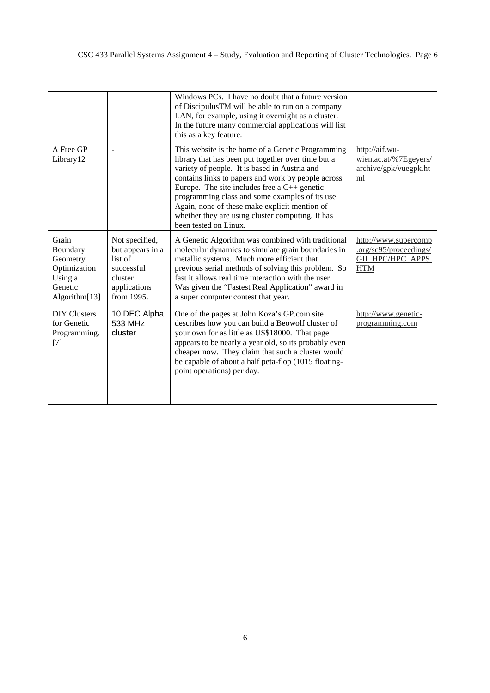|                                                                                      |                                                                                                      | Windows PCs. I have no doubt that a future version<br>of DiscipulusTM will be able to run on a company<br>LAN, for example, using it overnight as a cluster.<br>In the future many commercial applications will list<br>this as a key feature.                                                                                                                                                                                                       |                                                                                   |
|--------------------------------------------------------------------------------------|------------------------------------------------------------------------------------------------------|------------------------------------------------------------------------------------------------------------------------------------------------------------------------------------------------------------------------------------------------------------------------------------------------------------------------------------------------------------------------------------------------------------------------------------------------------|-----------------------------------------------------------------------------------|
| A Free GP<br>Library12                                                               |                                                                                                      | This website is the home of a Genetic Programming<br>library that has been put together over time but a<br>variety of people. It is based in Austria and<br>contains links to papers and work by people across<br>Europe. The site includes free a $C_{++}$ genetic<br>programming class and some examples of its use.<br>Again, none of these make explicit mention of<br>whether they are using cluster computing. It has<br>been tested on Linux. | http://aif.wu-<br>wien.ac.at/%7Egeyers/<br>archive/gpk/vuegpk.ht<br>ml            |
| Grain<br>Boundary<br>Geometry<br>Optimization<br>Using a<br>Genetic<br>Algorithm[13] | Not specified,<br>but appears in a<br>list of<br>successful<br>cluster<br>applications<br>from 1995. | A Genetic Algorithm was combined with traditional<br>molecular dynamics to simulate grain boundaries in<br>metallic systems. Much more efficient that<br>previous serial methods of solving this problem. So<br>fast it allows real time interaction with the user.<br>Was given the "Fastest Real Application" award in<br>a super computer contest that year.                                                                                      | http://www.supercomp<br>.org/sc95/proceedings/<br>GIL_HPC/HPC_APPS.<br><b>HTM</b> |
| <b>DIY Clusters</b><br>for Genetic<br>Programming.<br>$[7]$                          | 10 DEC Alpha<br>533 MHz<br>cluster                                                                   | One of the pages at John Koza's GP.com site<br>describes how you can build a Beowolf cluster of<br>your own for as little as US\$18000. That page<br>appears to be nearly a year old, so its probably even<br>cheaper now. They claim that such a cluster would<br>be capable of about a half peta-flop (1015 floating-<br>point operations) per day.                                                                                                | http://www.genetic-<br>programming.com                                            |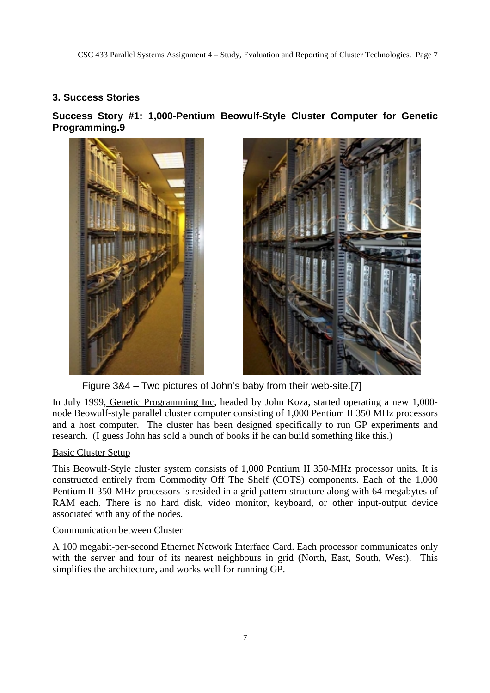# **3. Success Stories**

**Success Story #1: 1,000-Pentium Beowulf-Style Cluster Computer for Genetic Programming.9**





Figure 3&4 – Two pictures of John's baby from their web-site.[7]

In July 1999, Genetic Programming Inc, headed by John Koza, started operating a new 1,000 node Beowulf-style parallel cluster computer consisting of 1,000 Pentium II 350 MHz processors and a host computer. The cluster has been designed specifically to run GP experiments and research. (I guess John has sold a bunch of books if he can build something like this.)

## Basic Cluster Setup

This Beowulf-Style cluster system consists of 1,000 Pentium II 350-MHz processor units. It is constructed entirely from Commodity Off The Shelf (COTS) components. Each of the 1,000 Pentium II 350-MHz processors is resided in a grid pattern structure along with 64 megabytes of RAM each. There is no hard disk, video monitor, keyboard, or other input-output device associated with any of the nodes.

### Communication between Cluster

A 100 megabit-per-second Ethernet Network Interface Card. Each processor communicates only with the server and four of its nearest neighbours in grid (North, East, South, West). This simplifies the architecture, and works well for running GP.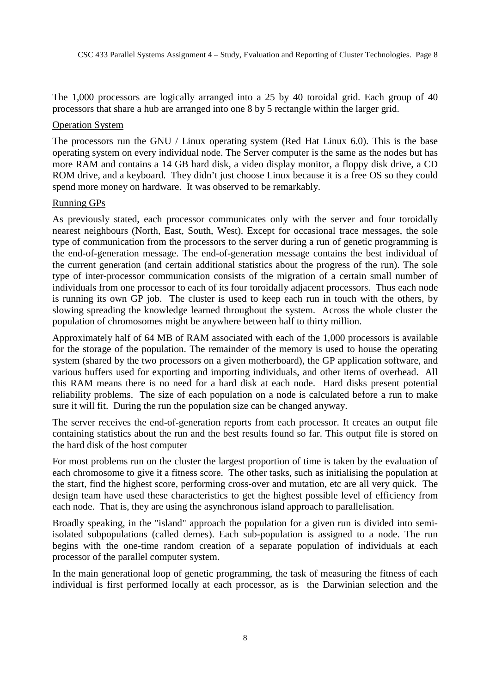The 1,000 processors are logically arranged into a 25 by 40 toroidal grid. Each group of 40 processors that share a hub are arranged into one 8 by 5 rectangle within the larger grid.

#### Operation System

The processors run the GNU / Linux operating system (Red Hat Linux 6.0). This is the base operating system on every individual node. The Server computer is the same as the nodes but has more RAM and contains a 14 GB hard disk, a video display monitor, a floppy disk drive, a CD ROM drive, and a keyboard. They didn't just choose Linux because it is a free OS so they could spend more money on hardware. It was observed to be remarkably.

#### Running GPs

As previously stated, each processor communicates only with the server and four toroidally nearest neighbours (North, East, South, West). Except for occasional trace messages, the sole type of communication from the processors to the server during a run of genetic programming is the end-of-generation message. The end-of-generation message contains the best individual of the current generation (and certain additional statistics about the progress of the run). The sole type of inter-processor communication consists of the migration of a certain small number of individuals from one processor to each of its four toroidally adjacent processors. Thus each node is running its own GP job. The cluster is used to keep each run in touch with the others, by slowing spreading the knowledge learned throughout the system. Across the whole cluster the population of chromosomes might be anywhere between half to thirty million.

Approximately half of 64 MB of RAM associated with each of the 1,000 processors is available for the storage of the population. The remainder of the memory is used to house the operating system (shared by the two processors on a given motherboard), the GP application software, and various buffers used for exporting and importing individuals, and other items of overhead. All this RAM means there is no need for a hard disk at each node. Hard disks present potential reliability problems. The size of each population on a node is calculated before a run to make sure it will fit. During the run the population size can be changed anyway.

The server receives the end-of-generation reports from each processor. It creates an output file containing statistics about the run and the best results found so far. This output file is stored on the hard disk of the host computer

For most problems run on the cluster the largest proportion of time is taken by the evaluation of each chromosome to give it a fitness score. The other tasks, such as initialising the population at the start, find the highest score, performing cross-over and mutation, etc are all very quick. The design team have used these characteristics to get the highest possible level of efficiency from each node. That is, they are using the asynchronous island approach to parallelisation.

Broadly speaking, in the "island" approach the population for a given run is divided into semiisolated subpopulations (called demes). Each sub-population is assigned to a node. The run begins with the one-time random creation of a separate population of individuals at each processor of the parallel computer system.

In the main generational loop of genetic programming, the task of measuring the fitness of each individual is first performed locally at each processor, as is the Darwinian selection and the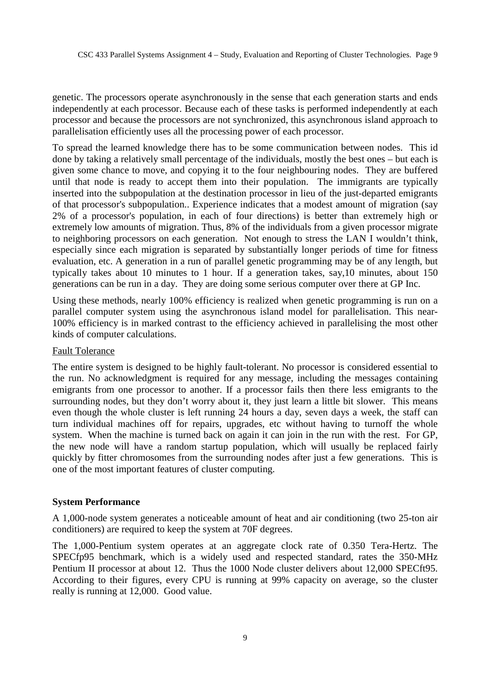genetic. The processors operate asynchronously in the sense that each generation starts and ends independently at each processor. Because each of these tasks is performed independently at each processor and because the processors are not synchronized, this asynchronous island approach to parallelisation efficiently uses all the processing power of each processor.

To spread the learned knowledge there has to be some communication between nodes. This id done by taking a relatively small percentage of the individuals, mostly the best ones – but each is given some chance to move, and copying it to the four neighbouring nodes. They are buffered until that node is ready to accept them into their population. The immigrants are typically inserted into the subpopulation at the destination processor in lieu of the just-departed emigrants of that processor's subpopulation.. Experience indicates that a modest amount of migration (say 2% of a processor's population, in each of four directions) is better than extremely high or extremely low amounts of migration. Thus, 8% of the individuals from a given processor migrate to neighboring processors on each generation. Not enough to stress the LAN I wouldn't think, especially since each migration is separated by substantially longer periods of time for fitness evaluation, etc. A generation in a run of parallel genetic programming may be of any length, but typically takes about 10 minutes to 1 hour. If a generation takes, say,10 minutes, about 150 generations can be run in a day. They are doing some serious computer over there at GP Inc.

Using these methods, nearly 100% efficiency is realized when genetic programming is run on a parallel computer system using the asynchronous island model for parallelisation. This near-100% efficiency is in marked contrast to the efficiency achieved in parallelising the most other kinds of computer calculations.

#### Fault Tolerance

The entire system is designed to be highly fault-tolerant. No processor is considered essential to the run. No acknowledgment is required for any message, including the messages containing emigrants from one processor to another. If a processor fails then there less emigrants to the surrounding nodes, but they don't worry about it, they just learn a little bit slower. This means even though the whole cluster is left running 24 hours a day, seven days a week, the staff can turn individual machines off for repairs, upgrades, etc without having to turnoff the whole system. When the machine is turned back on again it can join in the run with the rest. For GP, the new node will have a random startup population, which will usually be replaced fairly quickly by fitter chromosomes from the surrounding nodes after just a few generations. This is one of the most important features of cluster computing.

### **System Performance**

A 1,000-node system generates a noticeable amount of heat and air conditioning (two 25-ton air conditioners) are required to keep the system at 70F degrees.

The 1,000-Pentium system operates at an aggregate clock rate of 0.350 Tera-Hertz. The SPECfp95 benchmark, which is a widely used and respected standard, rates the 350-MHz Pentium II processor at about 12. Thus the 1000 Node cluster delivers about 12,000 SPECft95. According to their figures, every CPU is running at 99% capacity on average, so the cluster really is running at 12,000. Good value.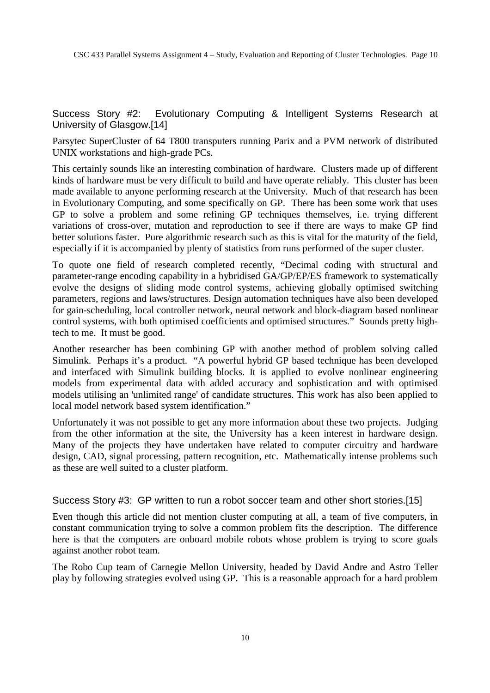Success Story #2: Evolutionary Computing & Intelligent Systems Research at University of Glasgow.[14]

Parsytec SuperCluster of 64 T800 transputers running Parix and a PVM network of distributed UNIX workstations and high-grade PCs.

This certainly sounds like an interesting combination of hardware. Clusters made up of different kinds of hardware must be very difficult to build and have operate reliably. This cluster has been made available to anyone performing research at the University. Much of that research has been in Evolutionary Computing, and some specifically on GP. There has been some work that uses GP to solve a problem and some refining GP techniques themselves, i.e. trying different variations of cross-over, mutation and reproduction to see if there are ways to make GP find better solutions faster. Pure algorithmic research such as this is vital for the maturity of the field, especially if it is accompanied by plenty of statistics from runs performed of the super cluster.

To quote one field of research completed recently, "Decimal coding with structural and parameter-range encoding capability in a hybridised GA/GP/EP/ES framework to systematically evolve the designs of sliding mode control systems, achieving globally optimised switching parameters, regions and laws/structures. Design automation techniques have also been developed for gain-scheduling, local controller network, neural network and block-diagram based nonlinear control systems, with both optimised coefficients and optimised structures." Sounds pretty hightech to me. It must be good.

Another researcher has been combining GP with another method of problem solving called Simulink. Perhaps it's a product. "A powerful hybrid GP based technique has been developed and interfaced with Simulink building blocks. It is applied to evolve nonlinear engineering models from experimental data with added accuracy and sophistication and with optimised models utilising an 'unlimited range' of candidate structures. This work has also been applied to local model network based system identification."

Unfortunately it was not possible to get any more information about these two projects. Judging from the other information at the site, the University has a keen interest in hardware design. Many of the projects they have undertaken have related to computer circuitry and hardware design, CAD, signal processing, pattern recognition, etc. Mathematically intense problems such as these are well suited to a cluster platform.

## Success Story #3: GP written to run a robot soccer team and other short stories.[15]

Even though this article did not mention cluster computing at all, a team of five computers, in constant communication trying to solve a common problem fits the description. The difference here is that the computers are onboard mobile robots whose problem is trying to score goals against another robot team.

The Robo Cup team of Carnegie Mellon University, headed by David Andre and Astro Teller play by following strategies evolved using GP. This is a reasonable approach for a hard problem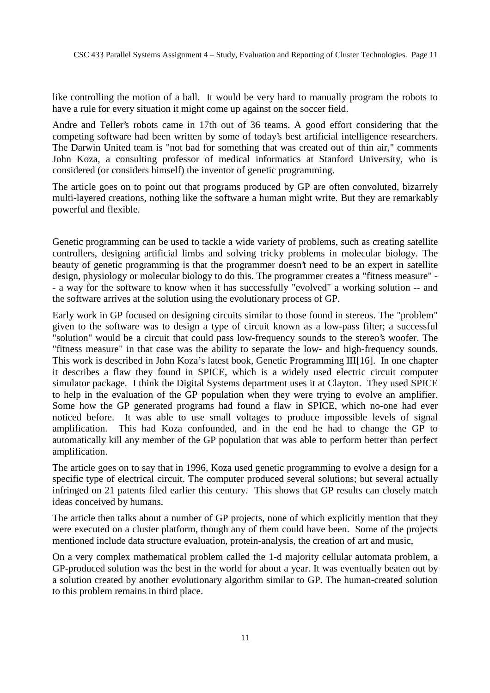like controlling the motion of a ball. It would be very hard to manually program the robots to have a rule for every situation it might come up against on the soccer field.

Andre and Teller's robots came in 17th out of 36 teams. A good effort considering that the competing software had been written by some of today's best artificial intelligence researchers. The Darwin United team is "not bad for something that was created out of thin air," comments John Koza, a consulting professor of medical informatics at Stanford University, who is considered (or considers himself) the inventor of genetic programming.

The article goes on to point out that programs produced by GP are often convoluted, bizarrely multi-layered creations, nothing like the software a human might write. But they are remarkably powerful and flexible.

Genetic programming can be used to tackle a wide variety of problems, such as creating satellite controllers, designing artificial limbs and solving tricky problems in molecular biology. The beauty of genetic programming is that the programmer doesn't need to be an expert in satellite design, physiology or molecular biology to do this. The programmer creates a "fitness measure" - - a way for the software to know when it has successfully "evolved" a working solution -- and the software arrives at the solution using the evolutionary process of GP.

Early work in GP focused on designing circuits similar to those found in stereos. The "problem" given to the software was to design a type of circuit known as a low-pass filter; a successful "solution" would be a circuit that could pass low-frequency sounds to the stereo's woofer. The "fitness measure" in that case was the ability to separate the low- and high-frequency sounds. This work is described in John Koza's latest book, Genetic Programming III[16]. In one chapter it describes a flaw they found in SPICE, which is a widely used electric circuit computer simulator package. I think the Digital Systems department uses it at Clayton. They used SPICE to help in the evaluation of the GP population when they were trying to evolve an amplifier. Some how the GP generated programs had found a flaw in SPICE, which no-one had ever noticed before. It was able to use small voltages to produce impossible levels of signal amplification. This had Koza confounded, and in the end he had to change the GP to automatically kill any member of the GP population that was able to perform better than perfect amplification.

The article goes on to say that in 1996, Koza used genetic programming to evolve a design for a specific type of electrical circuit. The computer produced several solutions; but several actually infringed on 21 patents filed earlier this century. This shows that GP results can closely match ideas conceived by humans.

The article then talks about a number of GP projects, none of which explicitly mention that they were executed on a cluster platform, though any of them could have been. Some of the projects mentioned include data structure evaluation, protein-analysis, the creation of art and music,

On a very complex mathematical problem called the 1-d majority cellular automata problem, a GP-produced solution was the best in the world for about a year. It was eventually beaten out by a solution created by another evolutionary algorithm similar to GP. The human-created solution to this problem remains in third place.